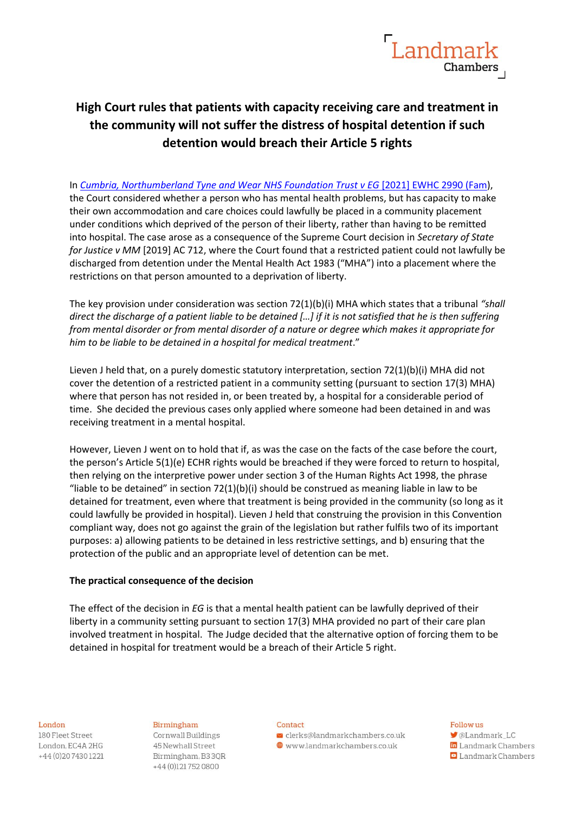

# **High Court rules that patients with capacity receiving care and treatment in the community will not suffer the distress of hospital detention if such detention would breach their Article 5 rights**

In *[Cumbria, Northumberland Tyne and Wear NHS Foundation Trust v EG](https://www.bailii.org/ew/cases/EWHC/Fam/2021/2990.html)* [2021] EWHC 2990 (Fam), the Court considered whether a person who has mental health problems, but has capacity to make their own accommodation and care choices could lawfully be placed in a community placement under conditions which deprived of the person of their liberty, rather than having to be remitted into hospital. The case arose as a consequence of the Supreme Court decision in *Secretary of State for Justice v MM* [2019] AC 712, where the Court found that a restricted patient could not lawfully be discharged from detention under the Mental Health Act 1983 ("MHA") into a placement where the restrictions on that person amounted to a deprivation of liberty.

The key provision under consideration was section 72(1)(b)(i) MHA which states that a tribunal *"shall direct the discharge of a patient liable to be detained […] if it is not satisfied that he is then suffering from mental disorder or from mental disorder of a nature or degree which makes it appropriate for him to be liable to be detained in a hospital for medical treatment*."

Lieven J held that, on a purely domestic statutory interpretation, section 72(1)(b)(i) MHA did not cover the detention of a restricted patient in a community setting (pursuant to section 17(3) MHA) where that person has not resided in, or been treated by, a hospital for a considerable period of time. She decided the previous cases only applied where someone had been detained in and was receiving treatment in a mental hospital.

However, Lieven J went on to hold that if, as was the case on the facts of the case before the court, the person's Article 5(1)(e) ECHR rights would be breached if they were forced to return to hospital, then relying on the interpretive power under section 3 of the Human Rights Act 1998, the phrase "liable to be detained" in section  $72(1)(b)(i)$  should be construed as meaning liable in law to be detained for treatment, even where that treatment is being provided in the community (so long as it could lawfully be provided in hospital). Lieven J held that construing the provision in this Convention compliant way, does not go against the grain of the legislation but rather fulfils two of its important purposes: a) allowing patients to be detained in less restrictive settings, and b) ensuring that the protection of the public and an appropriate level of detention can be met.

# **The practical consequence of the decision**

The effect of the decision in *EG* is that a mental health patient can be lawfully deprived of their liberty in a community setting pursuant to section 17(3) MHA provided no part of their care plan involved treatment in hospital. The Judge decided that the alternative option of forcing them to be detained in hospital for treatment would be a breach of their Article 5 right.

#### London

180 Fleet Street London, EC4A 2HG +44 (0) 20 7430 1221

# Birmingham

Cornwall Buildings 45 Newhall Street Birmingham, B33QR +44 (0)121752 0800

#### Contact

 $\blacktriangleright$  clerks@landmarkchambers.co.uk  $\textcolor{blue}{\bigoplus}$  www.landmarkchambers.co.uk

## Follow us

**M**@Landmark LC in Landmark Chambers

**D** Landmark Chambers